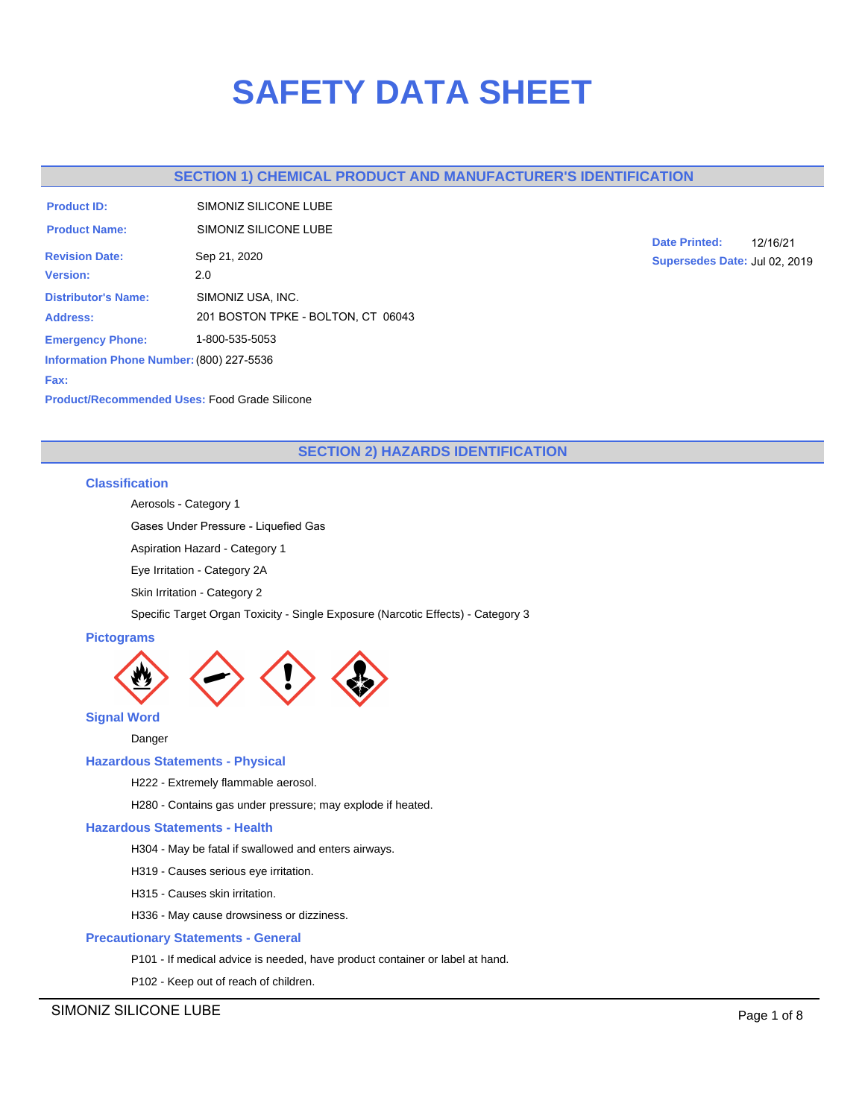# **SAFETY DATA SHEET**

# **SECTION 1) CHEMICAL PRODUCT AND MANUFACTURER'S IDENTIFICATION**

| SIMONIZ SILICONE LUBE                    |
|------------------------------------------|
| SIMONIZ SILICONE LUBE                    |
| Sep 21, 2020                             |
| 2.0                                      |
| SIMONIZ USA, INC.                        |
| 201 BOSTON TPKE - BOLTON, CT 06043       |
| 1-800-535-5053                           |
| Information Phone Number: (800) 227-5536 |
|                                          |

**Date Printed:** 12/16/21 **Supersedes Date:** Jul 02, 2019

**Fax:**

**Product/Recommended Uses:** Food Grade Silicone

# **SECTION 2) HAZARDS IDENTIFICATION**

# **Classification**

Aerosols - Category 1

Gases Under Pressure - Liquefied Gas

Aspiration Hazard - Category 1

Eye Irritation - Category 2A

Skin Irritation - Category 2

Specific Target Organ Toxicity - Single Exposure (Narcotic Effects) - Category 3

# **Pictograms**



**Signal Word**

Danger

# **Hazardous Statements - Physical**

H222 - Extremely flammable aerosol.

H280 - Contains gas under pressure; may explode if heated.

# **Hazardous Statements - Health**

H304 - May be fatal if swallowed and enters airways.

- H319 Causes serious eye irritation.
- H315 Causes skin irritation.
- H336 May cause drowsiness or dizziness.

# **Precautionary Statements - General**

P101 - If medical advice is needed, have product container or label at hand.

P102 - Keep out of reach of children.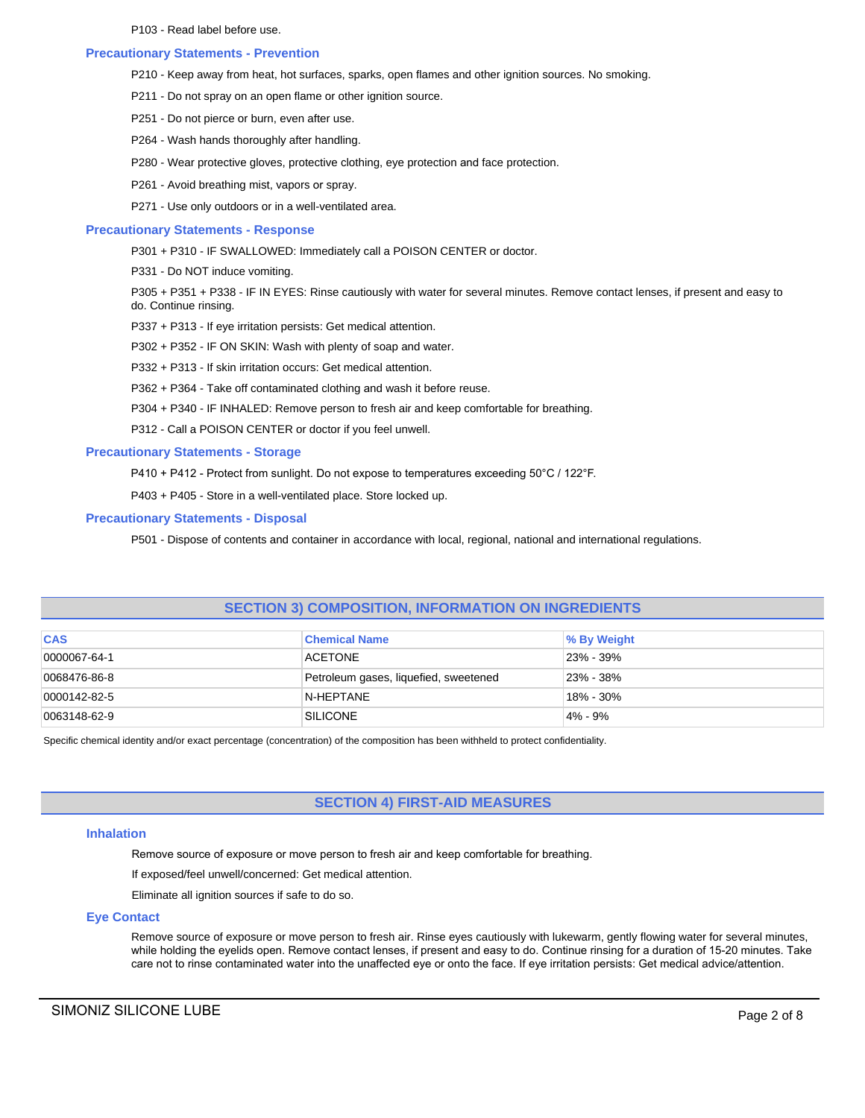P103 - Read label before use.

# **Precautionary Statements - Prevention**

- P210 Keep away from heat, hot surfaces, sparks, open flames and other ignition sources. No smoking.
- P211 Do not spray on an open flame or other ignition source.
- P251 Do not pierce or burn, even after use.
- P264 Wash hands thoroughly after handling.
- P280 Wear protective gloves, protective clothing, eye protection and face protection.
- P261 Avoid breathing mist, vapors or spray.
- P271 Use only outdoors or in a well-ventilated area.

# **Precautionary Statements - Response**

- P301 + P310 IF SWALLOWED: Immediately call a POISON CENTER or doctor.
- P331 Do NOT induce vomiting.

P305 + P351 + P338 - IF IN EYES: Rinse cautiously with water for several minutes. Remove contact lenses, if present and easy to do. Continue rinsing.

- P337 + P313 If eye irritation persists: Get medical attention.
- P302 + P352 IF ON SKIN: Wash with plenty of soap and water.
- P332 + P313 If skin irritation occurs: Get medical attention.
- P362 + P364 Take off contaminated clothing and wash it before reuse.
- P304 + P340 IF INHALED: Remove person to fresh air and keep comfortable for breathing.

P312 - Call a POISON CENTER or doctor if you feel unwell.

# **Precautionary Statements - Storage**

P410 + P412 - Protect from sunlight. Do not expose to temperatures exceeding 50°C / 122°F.

P403 + P405 - Store in a well-ventilated place. Store locked up.

# **Precautionary Statements - Disposal**

P501 - Dispose of contents and container in accordance with local, regional, national and international regulations.

# **SECTION 3) COMPOSITION, INFORMATION ON INGREDIENTS**

| <b>CAS</b>   | <b>Chemical Name</b>                  | % By Weight |
|--------------|---------------------------------------|-------------|
| 0000067-64-1 | ACETONE                               | 23% - 39%   |
| 0068476-86-8 | Petroleum gases, liquefied, sweetened | 23% - 38%   |
| 0000142-82-5 | N-HEPTANE                             | 18% - 30%   |
| 0063148-62-9 | SILICONE                              | $4\% - 9\%$ |

Specific chemical identity and/or exact percentage (concentration) of the composition has been withheld to protect confidentiality.

# **SECTION 4) FIRST-AID MEASURES**

# **Inhalation**

Remove source of exposure or move person to fresh air and keep comfortable for breathing.

If exposed/feel unwell/concerned: Get medical attention.

Eliminate all ignition sources if safe to do so.

# **Eye Contact**

Remove source of exposure or move person to fresh air. Rinse eyes cautiously with lukewarm, gently flowing water for several minutes, while holding the eyelids open. Remove contact lenses, if present and easy to do. Continue rinsing for a duration of 15-20 minutes. Take care not to rinse contaminated water into the unaffected eye or onto the face. If eye irritation persists: Get medical advice/attention.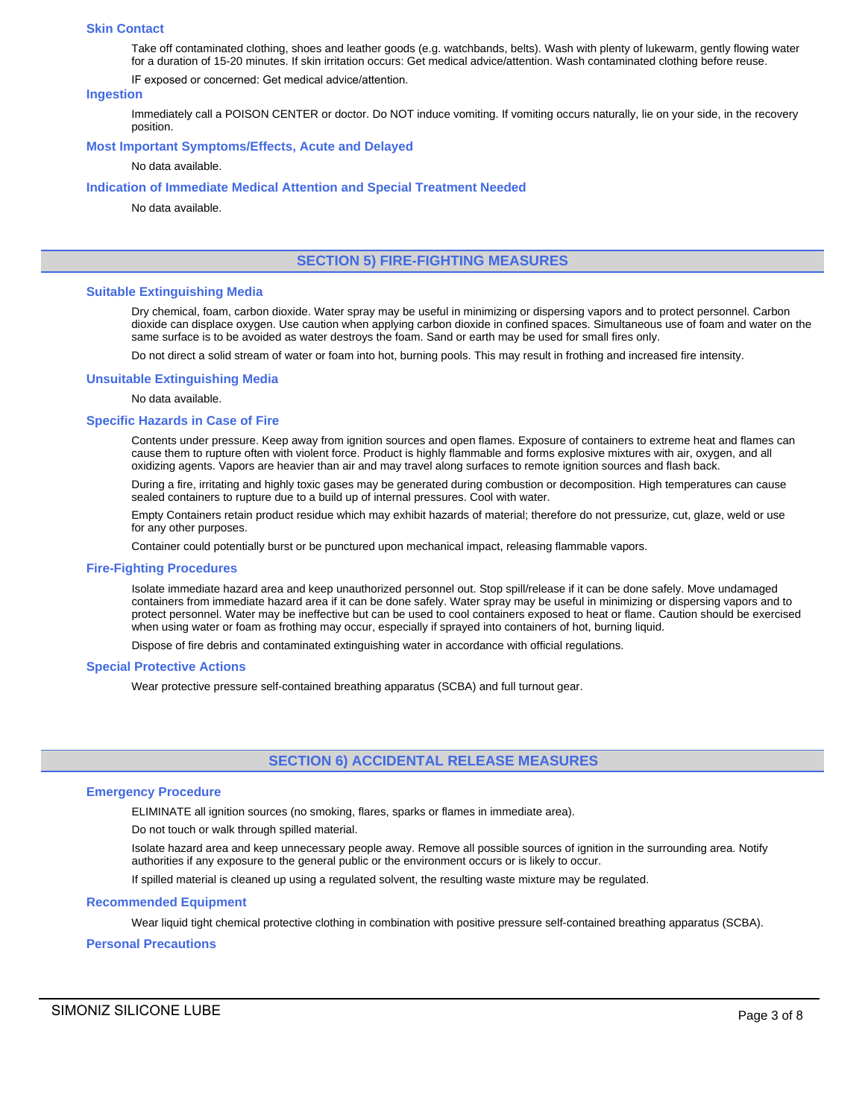#### **Skin Contact**

Take off contaminated clothing, shoes and leather goods (e.g. watchbands, belts). Wash with plenty of lukewarm, gently flowing water for a duration of 15-20 minutes. If skin irritation occurs: Get medical advice/attention. Wash contaminated clothing before reuse.

IF exposed or concerned: Get medical advice/attention.

#### **Ingestion**

Immediately call a POISON CENTER or doctor. Do NOT induce vomiting. If vomiting occurs naturally, lie on your side, in the recovery position.

# **Most Important Symptoms/Effects, Acute and Delayed**

No data available.

#### **Indication of Immediate Medical Attention and Special Treatment Needed**

No data available.

# **SECTION 5) FIRE-FIGHTING MEASURES**

#### **Suitable Extinguishing Media**

Dry chemical, foam, carbon dioxide. Water spray may be useful in minimizing or dispersing vapors and to protect personnel. Carbon dioxide can displace oxygen. Use caution when applying carbon dioxide in confined spaces. Simultaneous use of foam and water on the same surface is to be avoided as water destroys the foam. Sand or earth may be used for small fires only.

Do not direct a solid stream of water or foam into hot, burning pools. This may result in frothing and increased fire intensity.

#### **Unsuitable Extinguishing Media**

No data available.

#### **Specific Hazards in Case of Fire**

Contents under pressure. Keep away from ignition sources and open flames. Exposure of containers to extreme heat and flames can cause them to rupture often with violent force. Product is highly flammable and forms explosive mixtures with air, oxygen, and all oxidizing agents. Vapors are heavier than air and may travel along surfaces to remote ignition sources and flash back.

During a fire, irritating and highly toxic gases may be generated during combustion or decomposition. High temperatures can cause sealed containers to rupture due to a build up of internal pressures. Cool with water.

Empty Containers retain product residue which may exhibit hazards of material; therefore do not pressurize, cut, glaze, weld or use for any other purposes.

Container could potentially burst or be punctured upon mechanical impact, releasing flammable vapors.

#### **Fire-Fighting Procedures**

Isolate immediate hazard area and keep unauthorized personnel out. Stop spill/release if it can be done safely. Move undamaged containers from immediate hazard area if it can be done safely. Water spray may be useful in minimizing or dispersing vapors and to protect personnel. Water may be ineffective but can be used to cool containers exposed to heat or flame. Caution should be exercised when using water or foam as frothing may occur, especially if sprayed into containers of hot, burning liquid.

Dispose of fire debris and contaminated extinguishing water in accordance with official regulations.

### **Special Protective Actions**

Wear protective pressure self-contained breathing apparatus (SCBA) and full turnout gear.

# **SECTION 6) ACCIDENTAL RELEASE MEASURES**

### **Emergency Procedure**

ELIMINATE all ignition sources (no smoking, flares, sparks or flames in immediate area).

Do not touch or walk through spilled material.

Isolate hazard area and keep unnecessary people away. Remove all possible sources of ignition in the surrounding area. Notify authorities if any exposure to the general public or the environment occurs or is likely to occur.

If spilled material is cleaned up using a regulated solvent, the resulting waste mixture may be regulated.

### **Recommended Equipment**

Wear liquid tight chemical protective clothing in combination with positive pressure self-contained breathing apparatus (SCBA).

#### **Personal Precautions**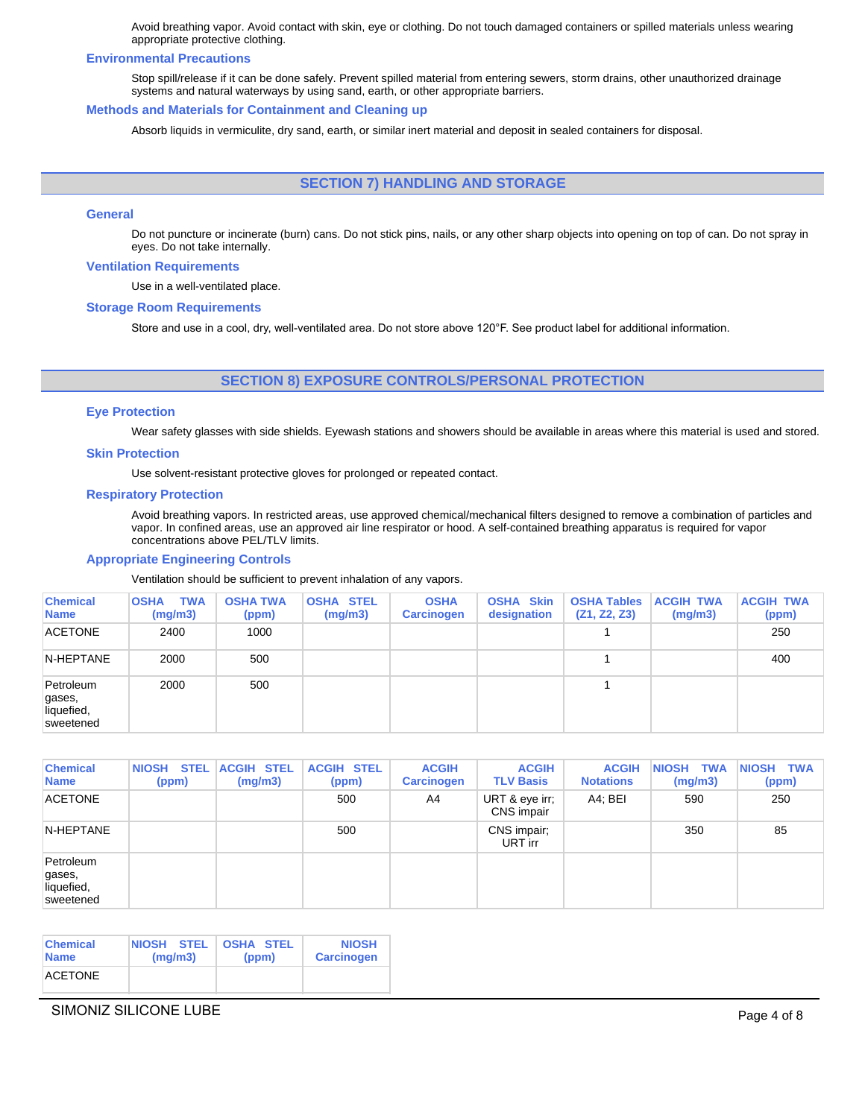Avoid breathing vapor. Avoid contact with skin, eye or clothing. Do not touch damaged containers or spilled materials unless wearing appropriate protective clothing.

#### **Environmental Precautions**

Stop spill/release if it can be done safely. Prevent spilled material from entering sewers, storm drains, other unauthorized drainage systems and natural waterways by using sand, earth, or other appropriate barriers.

#### **Methods and Materials for Containment and Cleaning up**

Absorb liquids in vermiculite, dry sand, earth, or similar inert material and deposit in sealed containers for disposal.

# **SECTION 7) HANDLING AND STORAGE**

# **General**

Do not puncture or incinerate (burn) cans. Do not stick pins, nails, or any other sharp objects into opening on top of can. Do not spray in eyes. Do not take internally.

#### **Ventilation Requirements**

Use in a well-ventilated place.

#### **Storage Room Requirements**

Store and use in a cool, dry, well-ventilated area. Do not store above 120°F. See product label for additional information.

# **SECTION 8) EXPOSURE CONTROLS/PERSONAL PROTECTION**

#### **Eye Protection**

Wear safety glasses with side shields. Eyewash stations and showers should be available in areas where this material is used and stored.

#### **Skin Protection**

Use solvent-resistant protective gloves for prolonged or repeated contact.

#### **Respiratory Protection**

Avoid breathing vapors. In restricted areas, use approved chemical/mechanical filters designed to remove a combination of particles and vapor. In confined areas, use an approved air line respirator or hood. A self-contained breathing apparatus is required for vapor concentrations above PEL/TLV limits.

#### **Appropriate Engineering Controls**

Ventilation should be sufficient to prevent inhalation of any vapors.

| <b>Chemical</b><br><b>Name</b>                 | <b>TWA</b><br><b>OSHA</b><br>(mg/m3) | <b>OSHA TWA</b><br>(ppm) | <b>OSHA STEL</b><br>(mg/m3) | <b>OSHA</b><br><b>Carcinogen</b> | <b>OSHA Skin</b><br>designation | <b>OSHA Tables</b><br>(Z1, Z2, Z3) | <b>ACGIH TWA</b><br>(mg/m3) | <b>ACGIH TWA</b><br>(ppm) |
|------------------------------------------------|--------------------------------------|--------------------------|-----------------------------|----------------------------------|---------------------------------|------------------------------------|-----------------------------|---------------------------|
| <b>ACETONE</b>                                 | 2400                                 | 1000                     |                             |                                  |                                 |                                    |                             | 250                       |
| N-HEPTANE                                      | 2000                                 | 500                      |                             |                                  |                                 |                                    |                             | 400                       |
| Petroleum<br>gases,<br>liquefied,<br>sweetened | 2000                                 | 500                      |                             |                                  |                                 |                                    |                             |                           |

| <b>Chemical</b><br><b>Name</b>                 | <b>STEL</b><br><b>NIOSH</b><br>(ppm) | <b>ACGIH STEL</b><br>(mg/m3) | <b>ACGIH STEL</b><br>(ppm) | <b>ACGIH</b><br><b>Carcinogen</b> | <b>ACGIH</b><br><b>TLV Basis</b> | <b>ACGIH</b><br><b>Notations</b> | <b>NIOSH</b><br><b>TWA</b><br>(mg/m3) | <b>TWA</b><br><b>NIOSH</b><br>(ppm) |
|------------------------------------------------|--------------------------------------|------------------------------|----------------------------|-----------------------------------|----------------------------------|----------------------------------|---------------------------------------|-------------------------------------|
| <b>ACETONE</b>                                 |                                      |                              | 500                        | A4                                | URT & eye irr;<br>CNS impair     | A4: BEI                          | 590                                   | 250                                 |
| N-HEPTANE                                      |                                      |                              | 500                        |                                   | CNS impair;<br>URT irr           |                                  | 350                                   | 85                                  |
| Petroleum<br>gases,<br>liquefied,<br>sweetened |                                      |                              |                            |                                   |                                  |                                  |                                       |                                     |

| <b>Chemical</b> | <b>NIOSH STEL</b> | <b>OSHA STEL</b> | <b>NIOSH</b>      |
|-----------------|-------------------|------------------|-------------------|
| <b>Name</b>     | (mq/m3)           | (ppm)            | <b>Carcinogen</b> |
| <b>ACETONE</b>  |                   |                  |                   |

# SIMONIZ SILICONE LUBE **Page 4 of 8**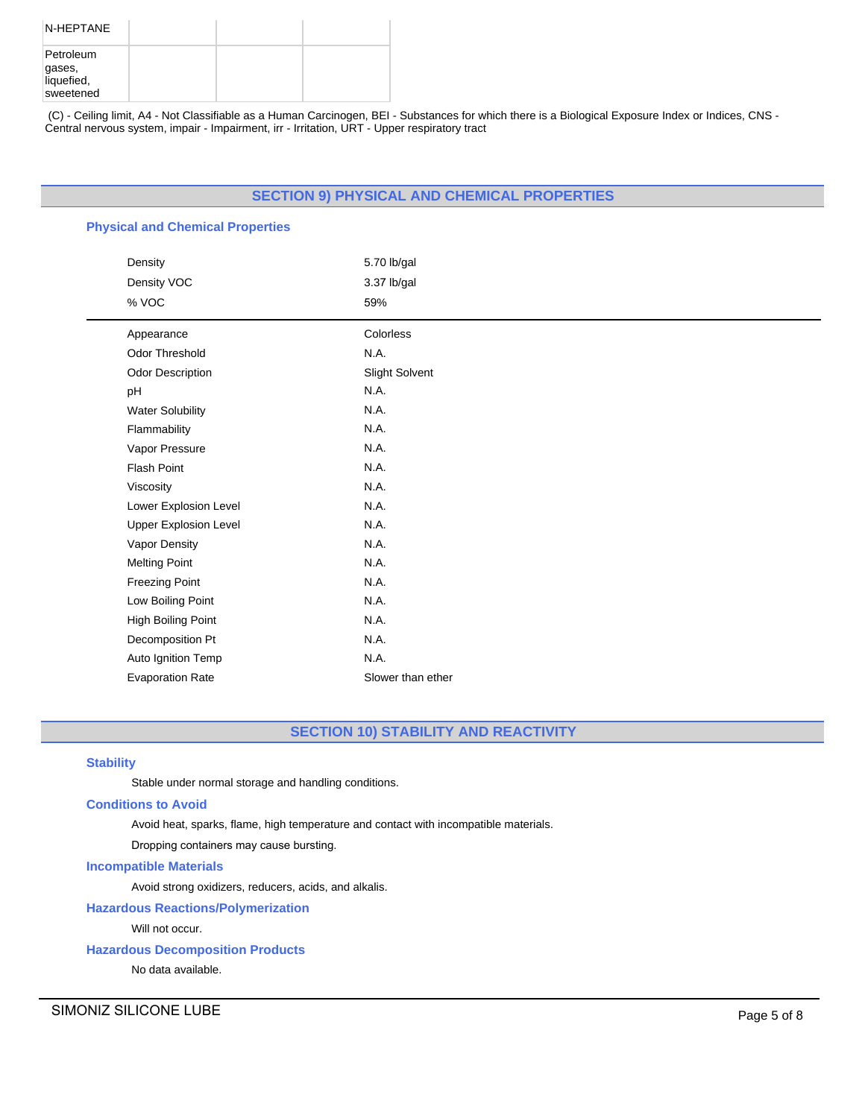| N-HEPTANE                                      |  |  |
|------------------------------------------------|--|--|
| Petroleum<br>gases,<br>liquefied,<br>sweetened |  |  |

(C) - Ceiling limit, A4 - Not Classifiable as a Human Carcinogen, BEI - Substances for which there is a Biological Exposure Index or Indices, CNS - Central nervous system, impair - Impairment, irr - Irritation, URT - Upper respiratory tract

# **SECTION 9) PHYSICAL AND CHEMICAL PROPERTIES**

# **Physical and Chemical Properties**

| Density                      | 5.70 lb/gal       |
|------------------------------|-------------------|
| Density VOC                  | 3.37 lb/gal       |
| % VOC                        | 59%               |
| Appearance                   | Colorless         |
| Odor Threshold               | N.A.              |
| Odor Description             | Slight Solvent    |
| pH                           | N.A.              |
| <b>Water Solubility</b>      | N.A.              |
| Flammability                 | N.A.              |
| Vapor Pressure               | N.A.              |
| <b>Flash Point</b>           | N.A.              |
| Viscosity                    | N.A.              |
| Lower Explosion Level        | N.A.              |
| <b>Upper Explosion Level</b> | N.A.              |
| Vapor Density                | N.A.              |
| <b>Melting Point</b>         | N.A.              |
| <b>Freezing Point</b>        | N.A.              |
| Low Boiling Point            | N.A.              |
| High Boiling Point           | N.A.              |
| Decomposition Pt             | N.A.              |
| Auto Ignition Temp           | N.A.              |
| <b>Evaporation Rate</b>      | Slower than ether |

# **SECTION 10) STABILITY AND REACTIVITY**

# **Stability**

Stable under normal storage and handling conditions.

# **Conditions to Avoid**

Avoid heat, sparks, flame, high temperature and contact with incompatible materials.

Dropping containers may cause bursting.

### **Incompatible Materials**

Avoid strong oxidizers, reducers, acids, and alkalis.

# **Hazardous Reactions/Polymerization**

Will not occur.

# **Hazardous Decomposition Products**

No data available.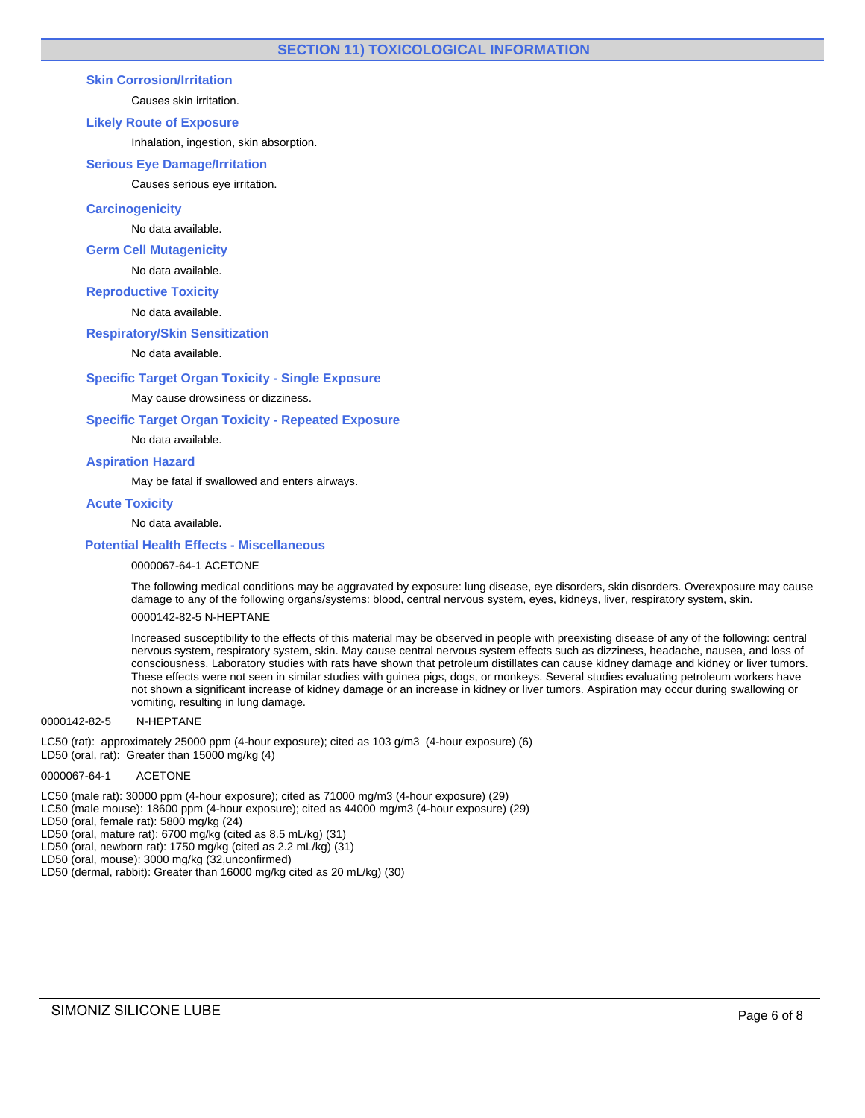# **Skin Corrosion/Irritation**

Causes skin irritation.

### **Likely Route of Exposure**

Inhalation, ingestion, skin absorption.

### **Serious Eye Damage/Irritation**

Causes serious eye irritation.

# **Carcinogenicity**

No data available.

### **Germ Cell Mutagenicity**

No data available.

### **Reproductive Toxicity**

No data available.

# **Respiratory/Skin Sensitization**

No data available.

### **Specific Target Organ Toxicity - Single Exposure**

May cause drowsiness or dizziness.

### **Specific Target Organ Toxicity - Repeated Exposure**

No data available.

# **Aspiration Hazard**

May be fatal if swallowed and enters airways.

# **Acute Toxicity**

# No data available.

# **Potential Health Effects - Miscellaneous**

0000067-64-1 ACETONE

The following medical conditions may be aggravated by exposure: lung disease, eye disorders, skin disorders. Overexposure may cause damage to any of the following organs/systems: blood, central nervous system, eyes, kidneys, liver, respiratory system, skin.

# 0000142-82-5 N-HEPTANE

Increased susceptibility to the effects of this material may be observed in people with preexisting disease of any of the following: central nervous system, respiratory system, skin. May cause central nervous system effects such as dizziness, headache, nausea, and loss of consciousness. Laboratory studies with rats have shown that petroleum distillates can cause kidney damage and kidney or liver tumors. These effects were not seen in similar studies with guinea pigs, dogs, or monkeys. Several studies evaluating petroleum workers have not shown a significant increase of kidney damage or an increase in kidney or liver tumors. Aspiration may occur during swallowing or vomiting, resulting in lung damage.

#### 0000142-82-5 N-HEPTANE

LC50 (rat): approximately 25000 ppm (4-hour exposure); cited as 103 g/m3 (4-hour exposure) (6)

LD50 (oral, rat): Greater than 15000 mg/kg (4)

# 0000067-64-1 ACETONE

LC50 (male rat): 30000 ppm (4-hour exposure); cited as 71000 mg/m3 (4-hour exposure) (29)

LC50 (male mouse): 18600 ppm (4-hour exposure); cited as 44000 mg/m3 (4-hour exposure) (29)

LD50 (oral, female rat): 5800 mg/kg (24)

- LD50 (oral, mature rat): 6700 mg/kg (cited as 8.5 mL/kg) (31)
- LD50 (oral, newborn rat): 1750 mg/kg (cited as 2.2 mL/kg) (31)
- LD50 (oral, mouse): 3000 mg/kg (32,unconfirmed)
- LD50 (dermal, rabbit): Greater than 16000 mg/kg cited as 20 mL/kg) (30)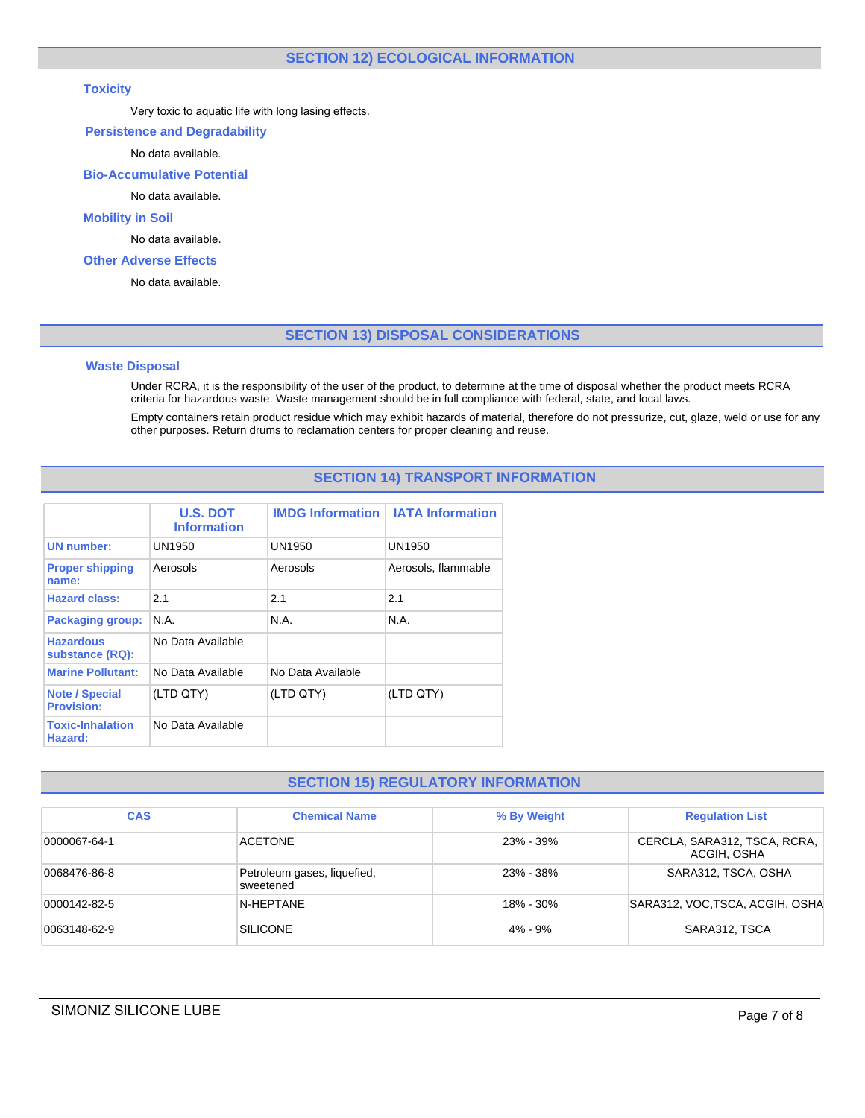# **Toxicity**

Very toxic to aquatic life with long lasing effects.

# **Persistence and Degradability**

No data available.

# **Bio-Accumulative Potential**

No data available.

# **Mobility in Soil**

No data available.

# **Other Adverse Effects**

No data available.

# **SECTION 13) DISPOSAL CONSIDERATIONS**

# **Waste Disposal**

Under RCRA, it is the responsibility of the user of the product, to determine at the time of disposal whether the product meets RCRA criteria for hazardous waste. Waste management should be in full compliance with federal, state, and local laws.

Empty containers retain product residue which may exhibit hazards of material, therefore do not pressurize, cut, glaze, weld or use for any other purposes. Return drums to reclamation centers for proper cleaning and reuse.

# **SECTION 14) TRANSPORT INFORMATION**

|                                            | <b>U.S. DOT</b><br><b>Information</b> | <b>IMDG Information</b> | <b>IATA Information</b> |
|--------------------------------------------|---------------------------------------|-------------------------|-------------------------|
| <b>UN number:</b>                          | UN1950                                | UN1950                  | UN1950                  |
| <b>Proper shipping</b><br>name:            | Aerosols                              | Aerosols                | Aerosols, flammable     |
| <b>Hazard class:</b>                       | 2.1                                   | 2.1                     | 2.1                     |
| <b>Packaging group:</b>                    | N A                                   | N A                     | N A                     |
| <b>Hazardous</b><br>substance (RQ):        | No Data Available                     |                         |                         |
| <b>Marine Pollutant:</b>                   | No Data Available                     | No Data Available       |                         |
| <b>Note / Special</b><br><b>Provision:</b> | (LTD QTY)                             | (LTD QTY)               | (LTD QTY)               |
| <b>Toxic-Inhalation</b><br>Hazard:         | No Data Available                     |                         |                         |

# **SECTION 15) REGULATORY INFORMATION**

| <b>CAS</b>   | <b>Chemical Name</b>                     | % By Weight | <b>Regulation List</b>                      |
|--------------|------------------------------------------|-------------|---------------------------------------------|
| 0000067-64-1 | <b>ACETONE</b>                           | 23% - 39%   | CERCLA, SARA312, TSCA, RCRA,<br>ACGIH, OSHA |
| 0068476-86-8 | Petroleum gases, liquefied,<br>sweetened | 23% - 38%   | SARA312, TSCA, OSHA                         |
| 0000142-82-5 | N-HEPTANE                                | 18% - 30%   | SARA312, VOC, TSCA, ACGIH, OSHA             |
| 0063148-62-9 | <b>SILICONE</b>                          | $4\% - 9\%$ | SARA312, TSCA                               |